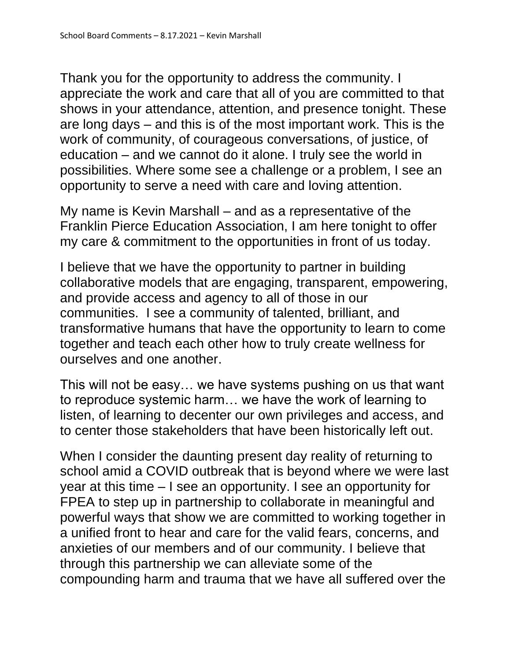Thank you for the opportunity to address the community. I appreciate the work and care that all of you are committed to that shows in your attendance, attention, and presence tonight. These are long days – and this is of the most important work. This is the work of community, of courageous conversations, of justice, of education – and we cannot do it alone. I truly see the world in possibilities. Where some see a challenge or a problem, I see an opportunity to serve a need with care and loving attention.

My name is Kevin Marshall – and as a representative of the Franklin Pierce Education Association, I am here tonight to offer my care & commitment to the opportunities in front of us today.

I believe that we have the opportunity to partner in building collaborative models that are engaging, transparent, empowering, and provide access and agency to all of those in our communities. I see a community of talented, brilliant, and transformative humans that have the opportunity to learn to come together and teach each other how to truly create wellness for ourselves and one another.

This will not be easy… we have systems pushing on us that want to reproduce systemic harm… we have the work of learning to listen, of learning to decenter our own privileges and access, and to center those stakeholders that have been historically left out.

When I consider the daunting present day reality of returning to school amid a COVID outbreak that is beyond where we were last year at this time – I see an opportunity. I see an opportunity for FPEA to step up in partnership to collaborate in meaningful and powerful ways that show we are committed to working together in a unified front to hear and care for the valid fears, concerns, and anxieties of our members and of our community. I believe that through this partnership we can alleviate some of the compounding harm and trauma that we have all suffered over the